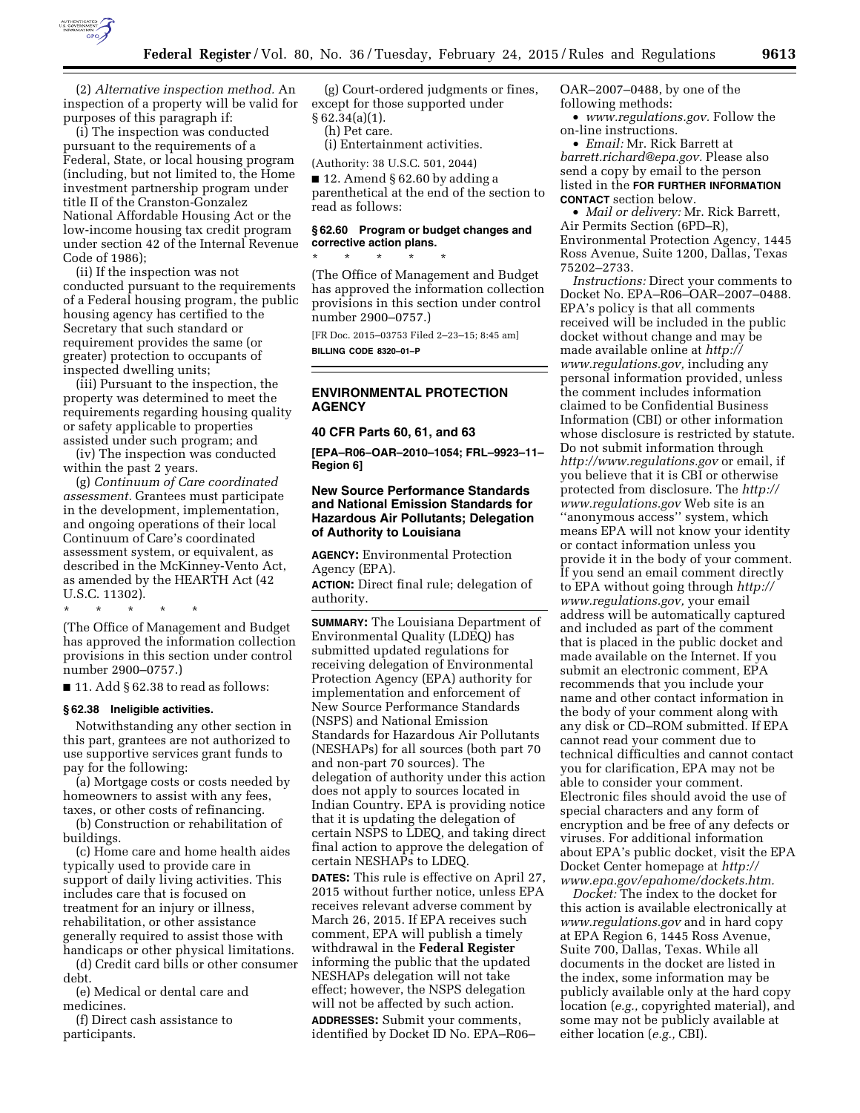

(2) *Alternative inspection method.* An inspection of a property will be valid for purposes of this paragraph if:

(i) The inspection was conducted pursuant to the requirements of a Federal, State, or local housing program (including, but not limited to, the Home investment partnership program under title II of the Cranston-Gonzalez National Affordable Housing Act or the low-income housing tax credit program under section 42 of the Internal Revenue Code of 1986);

(ii) If the inspection was not conducted pursuant to the requirements of a Federal housing program, the public housing agency has certified to the Secretary that such standard or requirement provides the same (or greater) protection to occupants of inspected dwelling units;

(iii) Pursuant to the inspection, the property was determined to meet the requirements regarding housing quality or safety applicable to properties assisted under such program; and

(iv) The inspection was conducted within the past 2 years.

(g) *Continuum of Care coordinated assessment.* Grantees must participate in the development, implementation, and ongoing operations of their local Continuum of Care's coordinated assessment system, or equivalent, as described in the McKinney-Vento Act, as amended by the HEARTH Act (42 U.S.C. 11302).

\* \* \* \* \*

(The Office of Management and Budget has approved the information collection provisions in this section under control number 2900–0757.)

 $\blacksquare$  11. Add § 62.38 to read as follows:

#### **§ 62.38 Ineligible activities.**

Notwithstanding any other section in this part, grantees are not authorized to use supportive services grant funds to pay for the following:

(a) Mortgage costs or costs needed by homeowners to assist with any fees, taxes, or other costs of refinancing.

(b) Construction or rehabilitation of buildings.

(c) Home care and home health aides typically used to provide care in support of daily living activities. This includes care that is focused on treatment for an injury or illness, rehabilitation, or other assistance generally required to assist those with handicaps or other physical limitations.

(d) Credit card bills or other consumer debt.

(e) Medical or dental care and medicines.

(f) Direct cash assistance to participants.

(g) Court-ordered judgments or fines, except for those supported under  $§ 62.34(a)(1).$ 

(h) Pet care.

(i) Entertainment activities.

(Authority: 38 U.S.C. 501, 2044)

 $\blacksquare$  12. Amend § 62.60 by adding a parenthetical at the end of the section to read as follows:

#### **§ 62.60 Program or budget changes and corrective action plans.**  \* \* \* \* \*

(The Office of Management and Budget has approved the information collection provisions in this section under control number 2900–0757.)

[FR Doc. 2015–03753 Filed 2–23–15; 8:45 am] **BILLING CODE 8320–01–P** 

## **ENVIRONMENTAL PROTECTION AGENCY**

#### **40 CFR Parts 60, 61, and 63**

**[EPA–R06–OAR–2010–1054; FRL–9923–11– Region 6]** 

### **New Source Performance Standards and National Emission Standards for Hazardous Air Pollutants; Delegation of Authority to Louisiana**

**AGENCY:** Environmental Protection Agency (EPA).

**ACTION:** Direct final rule; delegation of authority.

**SUMMARY:** The Louisiana Department of Environmental Quality (LDEQ) has submitted updated regulations for receiving delegation of Environmental Protection Agency (EPA) authority for implementation and enforcement of New Source Performance Standards (NSPS) and National Emission Standards for Hazardous Air Pollutants (NESHAPs) for all sources (both part 70 and non-part 70 sources). The delegation of authority under this action does not apply to sources located in Indian Country. EPA is providing notice that it is updating the delegation of certain NSPS to LDEQ, and taking direct final action to approve the delegation of certain NESHAPs to LDEQ.

**DATES:** This rule is effective on April 27, 2015 without further notice, unless EPA receives relevant adverse comment by March 26, 2015. If EPA receives such comment, EPA will publish a timely withdrawal in the **Federal Register**  informing the public that the updated NESHAPs delegation will not take effect; however, the NSPS delegation will not be affected by such action. **ADDRESSES:** Submit your comments, identified by Docket ID No. EPA–R06–

OAR–2007–0488, by one of the following methods:

• *[www.regulations.gov.](http://www.regulations.gov)* Follow the on-line instructions.

• *Email:* Mr. Rick Barrett at *[barrett.richard@epa.gov.](mailto:barrett.richard@epa.gov)* Please also send a copy by email to the person listed in the **FOR FURTHER INFORMATION CONTACT** section below.

• *Mail or delivery:* Mr. Rick Barrett, Air Permits Section (6PD–R), Environmental Protection Agency, 1445 Ross Avenue, Suite 1200, Dallas, Texas 75202–2733.

*Instructions:* Direct your comments to Docket No. EPA–R06–OAR–2007–0488. EPA's policy is that all comments received will be included in the public docket without change and may be made available online at *[http://](http://www.regulations.gov) [www.regulations.gov,](http://www.regulations.gov)* including any personal information provided, unless the comment includes information claimed to be Confidential Business Information (CBI) or other information whose disclosure is restricted by statute. Do not submit information through *<http://www.regulations.gov>* or email, if you believe that it is CBI or otherwise protected from disclosure. The *[http://](http://www.regulations.gov) [www.regulations.gov](http://www.regulations.gov)* Web site is an ''anonymous access'' system, which means EPA will not know your identity or contact information unless you provide it in the body of your comment. If you send an email comment directly to EPA without going through *[http://](http://www.regulations.gov) [www.regulations.gov,](http://www.regulations.gov)* your email address will be automatically captured and included as part of the comment that is placed in the public docket and made available on the Internet. If you submit an electronic comment, EPA recommends that you include your name and other contact information in the body of your comment along with any disk or CD–ROM submitted. If EPA cannot read your comment due to technical difficulties and cannot contact you for clarification, EPA may not be able to consider your comment. Electronic files should avoid the use of special characters and any form of encryption and be free of any defects or viruses. For additional information about EPA's public docket, visit the EPA Docket Center homepage at *[http://](http://www.epa.gov/epahome/dockets.htm) [www.epa.gov/epahome/dockets.htm.](http://www.epa.gov/epahome/dockets.htm)* 

*Docket:* The index to the docket for this action is available electronically at *[www.regulations.gov](http://www.regulations.gov)* and in hard copy at EPA Region 6, 1445 Ross Avenue, Suite 700, Dallas, Texas. While all documents in the docket are listed in the index, some information may be publicly available only at the hard copy location (*e.g.,* copyrighted material), and some may not be publicly available at either location (*e.g.,* CBI).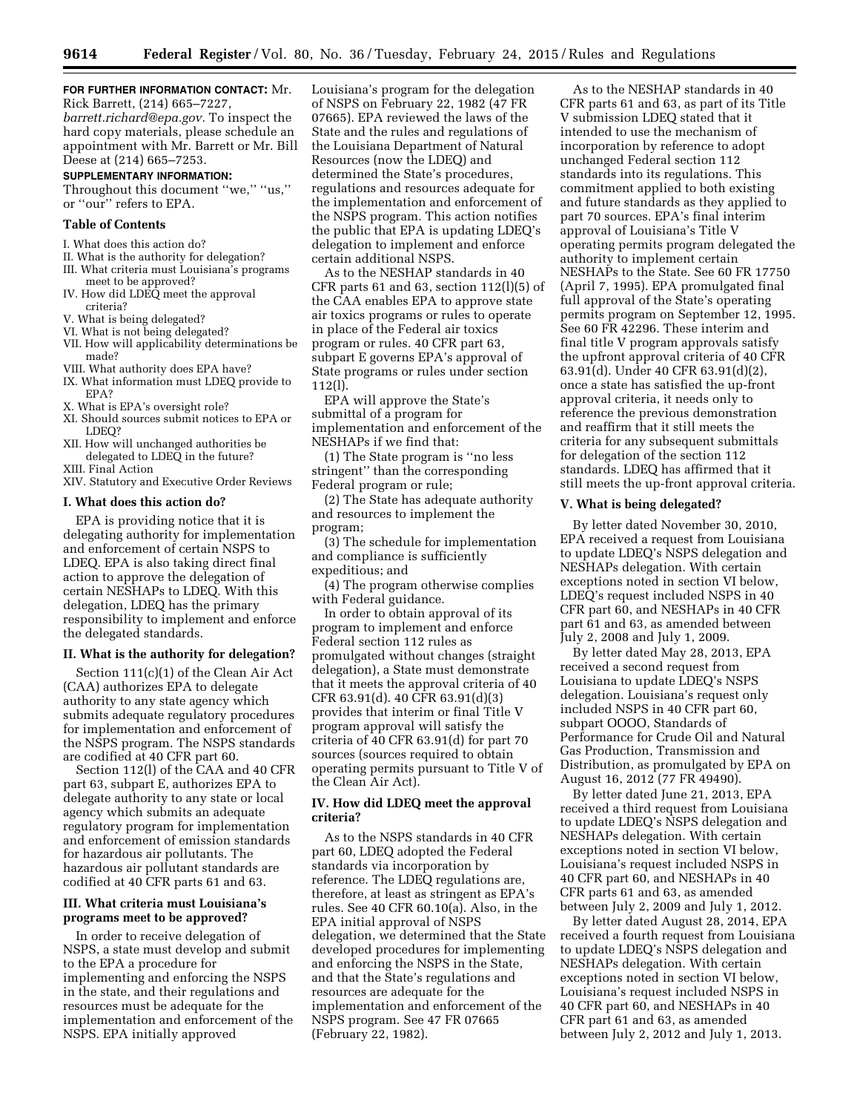## **FOR FURTHER INFORMATION CONTACT:** Mr.

Rick Barrett, (214) 665–7227, *[barrett.richard@epa.gov.](mailto:barrett.richard@epa.gov)* To inspect the hard copy materials, please schedule an appointment with Mr. Barrett or Mr. Bill Deese at (214) 665–7253.

## **SUPPLEMENTARY INFORMATION:**

Throughout this document ''we,'' ''us,'' or ''our'' refers to EPA.

#### **Table of Contents**

- I. What does this action do?
- II. What is the authority for delegation? III. What criteria must Louisiana's programs
- meet to be approved? IV. How did LDEQ meet the approval criteria?
- V. What is being delegated?
- VI. What is not being delegated?
- VII. How will applicability determinations be made?
- VIII. What authority does EPA have?
- IX. What information must LDEQ provide to EPA?
- X. What is EPA's oversight role?
- XI. Should sources submit notices to EPA or LDEQ?
- XII. How will unchanged authorities be delegated to LDEQ in the future? XIII. Final Action
- XIV. Statutory and Executive Order Reviews

#### **I. What does this action do?**

EPA is providing notice that it is delegating authority for implementation and enforcement of certain NSPS to LDEQ. EPA is also taking direct final action to approve the delegation of certain NESHAPs to LDEQ. With this delegation, LDEQ has the primary responsibility to implement and enforce the delegated standards.

#### **II. What is the authority for delegation?**

Section 111(c)(1) of the Clean Air Act (CAA) authorizes EPA to delegate authority to any state agency which submits adequate regulatory procedures for implementation and enforcement of the NSPS program. The NSPS standards are codified at 40 CFR part 60.

Section 112(l) of the CAA and 40 CFR part 63, subpart E, authorizes EPA to delegate authority to any state or local agency which submits an adequate regulatory program for implementation and enforcement of emission standards for hazardous air pollutants. The hazardous air pollutant standards are codified at 40 CFR parts 61 and 63.

#### **III. What criteria must Louisiana's programs meet to be approved?**

In order to receive delegation of NSPS, a state must develop and submit to the EPA a procedure for implementing and enforcing the NSPS in the state, and their regulations and resources must be adequate for the implementation and enforcement of the NSPS. EPA initially approved

Louisiana's program for the delegation of NSPS on February 22, 1982 (47 FR 07665). EPA reviewed the laws of the State and the rules and regulations of the Louisiana Department of Natural Resources (now the LDEQ) and determined the State's procedures, regulations and resources adequate for the implementation and enforcement of the NSPS program. This action notifies the public that EPA is updating LDEQ's delegation to implement and enforce certain additional NSPS.

As to the NESHAP standards in 40 CFR parts  $61$  and  $63$ , section  $112(1)(5)$  of the CAA enables EPA to approve state air toxics programs or rules to operate in place of the Federal air toxics program or rules. 40 CFR part 63, subpart E governs EPA's approval of State programs or rules under section 112(l).

EPA will approve the State's submittal of a program for implementation and enforcement of the NESHAPs if we find that:

(1) The State program is ''no less stringent'' than the corresponding Federal program or rule;

(2) The State has adequate authority and resources to implement the program;

(3) The schedule for implementation and compliance is sufficiently expeditious; and

(4) The program otherwise complies with Federal guidance.

In order to obtain approval of its program to implement and enforce Federal section 112 rules as promulgated without changes (straight delegation), a State must demonstrate that it meets the approval criteria of 40 CFR 63.91(d). 40 CFR 63.91(d)(3) provides that interim or final Title V program approval will satisfy the criteria of 40 CFR 63.91(d) for part 70 sources (sources required to obtain operating permits pursuant to Title V of the Clean Air Act).

#### **IV. How did LDEQ meet the approval criteria?**

As to the NSPS standards in 40 CFR part 60, LDEQ adopted the Federal standards via incorporation by reference. The LDEQ regulations are, therefore, at least as stringent as EPA's rules. See 40 CFR 60.10(a). Also, in the EPA initial approval of NSPS delegation, we determined that the State developed procedures for implementing and enforcing the NSPS in the State, and that the State's regulations and resources are adequate for the implementation and enforcement of the NSPS program. See 47 FR 07665 (February 22, 1982).

As to the NESHAP standards in 40 CFR parts 61 and 63, as part of its Title V submission LDEQ stated that it intended to use the mechanism of incorporation by reference to adopt unchanged Federal section 112 standards into its regulations. This commitment applied to both existing and future standards as they applied to part 70 sources. EPA's final interim approval of Louisiana's Title V operating permits program delegated the authority to implement certain NESHAPs to the State. See 60 FR 17750 (April 7, 1995). EPA promulgated final full approval of the State's operating permits program on September 12, 1995. See 60 FR 42296. These interim and final title V program approvals satisfy the upfront approval criteria of 40 CFR 63.91(d). Under 40 CFR 63.91(d)(2), once a state has satisfied the up-front approval criteria, it needs only to reference the previous demonstration and reaffirm that it still meets the criteria for any subsequent submittals for delegation of the section 112 standards. LDEQ has affirmed that it still meets the up-front approval criteria.

#### **V. What is being delegated?**

By letter dated November 30, 2010, EPA received a request from Louisiana to update LDEQ's NSPS delegation and NESHAPs delegation. With certain exceptions noted in section VI below, LDEQ's request included NSPS in 40 CFR part 60, and NESHAPs in 40 CFR part 61 and 63, as amended between July 2, 2008 and July 1, 2009.

By letter dated May 28, 2013, EPA received a second request from Louisiana to update LDEQ's NSPS delegation. Louisiana's request only included NSPS in 40 CFR part 60, subpart OOOO, Standards of Performance for Crude Oil and Natural Gas Production, Transmission and Distribution, as promulgated by EPA on August 16, 2012 (77 FR 49490).

By letter dated June 21, 2013, EPA received a third request from Louisiana to update LDEQ's NSPS delegation and NESHAPs delegation. With certain exceptions noted in section VI below, Louisiana's request included NSPS in 40 CFR part 60, and NESHAPs in 40 CFR parts 61 and 63, as amended between July 2, 2009 and July 1, 2012.

By letter dated August 28, 2014, EPA received a fourth request from Louisiana to update LDEQ's NSPS delegation and NESHAPs delegation. With certain exceptions noted in section VI below, Louisiana's request included NSPS in 40 CFR part 60, and NESHAPs in 40 CFR part 61 and 63, as amended between July 2, 2012 and July 1, 2013.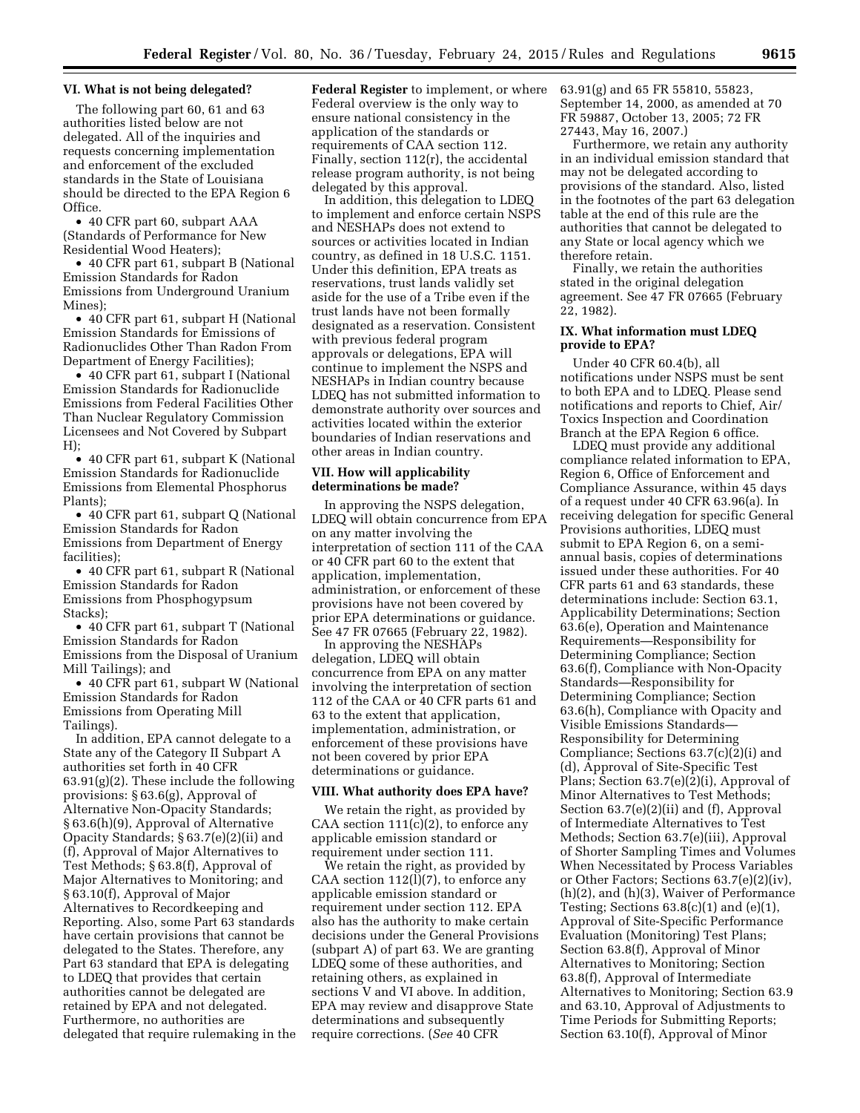#### **VI. What is not being delegated?**

The following part 60, 61 and 63 authorities listed below are not delegated. All of the inquiries and requests concerning implementation and enforcement of the excluded standards in the State of Louisiana should be directed to the EPA Region 6 Office.

• 40 CFR part 60, subpart AAA (Standards of Performance for New Residential Wood Heaters);

• 40 CFR part 61, subpart B (National Emission Standards for Radon Emissions from Underground Uranium Mines);

• 40 CFR part 61, subpart H (National Emission Standards for Emissions of Radionuclides Other Than Radon From Department of Energy Facilities);

• 40 CFR part 61, subpart I (National Emission Standards for Radionuclide Emissions from Federal Facilities Other Than Nuclear Regulatory Commission Licensees and Not Covered by Subpart H);

• 40 CFR part 61, subpart K (National Emission Standards for Radionuclide Emissions from Elemental Phosphorus Plants);

• 40 CFR part 61, subpart Q (National Emission Standards for Radon Emissions from Department of Energy facilities);

• 40 CFR part 61, subpart R (National Emission Standards for Radon Emissions from Phosphogypsum Stacks);

• 40 CFR part 61, subpart T (National Emission Standards for Radon Emissions from the Disposal of Uranium Mill Tailings); and

• 40 CFR part 61, subpart W (National Emission Standards for Radon Emissions from Operating Mill Tailings).

In addition, EPA cannot delegate to a State any of the Category II Subpart A authorities set forth in 40 CFR 63.91(g)(2). These include the following provisions: § 63.6(g), Approval of Alternative Non-Opacity Standards; § 63.6(h)(9), Approval of Alternative Opacity Standards; § 63.7(e)(2)(ii) and (f), Approval of Major Alternatives to Test Methods; § 63.8(f), Approval of Major Alternatives to Monitoring; and § 63.10(f), Approval of Major Alternatives to Recordkeeping and Reporting. Also, some Part 63 standards have certain provisions that cannot be delegated to the States. Therefore, any Part 63 standard that EPA is delegating to LDEQ that provides that certain authorities cannot be delegated are retained by EPA and not delegated. Furthermore, no authorities are delegated that require rulemaking in the

**Federal Register** to implement, or where Federal overview is the only way to ensure national consistency in the application of the standards or requirements of CAA section 112. Finally, section 112(r), the accidental release program authority, is not being delegated by this approval.

In addition, this delegation to LDEQ to implement and enforce certain NSPS and NESHAPs does not extend to sources or activities located in Indian country, as defined in 18 U.S.C. 1151. Under this definition, EPA treats as reservations, trust lands validly set aside for the use of a Tribe even if the trust lands have not been formally designated as a reservation. Consistent with previous federal program approvals or delegations, EPA will continue to implement the NSPS and NESHAPs in Indian country because LDEQ has not submitted information to demonstrate authority over sources and activities located within the exterior boundaries of Indian reservations and other areas in Indian country.

#### **VII. How will applicability determinations be made?**

In approving the NSPS delegation, LDEQ will obtain concurrence from EPA on any matter involving the interpretation of section 111 of the CAA or 40 CFR part 60 to the extent that application, implementation, administration, or enforcement of these provisions have not been covered by prior EPA determinations or guidance. See 47 FR 07665 (February 22, 1982).

In approving the NESHAPs delegation, LDEQ will obtain concurrence from EPA on any matter involving the interpretation of section 112 of the CAA or 40 CFR parts 61 and 63 to the extent that application, implementation, administration, or enforcement of these provisions have not been covered by prior EPA determinations or guidance.

## **VIII. What authority does EPA have?**

We retain the right, as provided by CAA section 111(c)(2), to enforce any applicable emission standard or requirement under section 111.

We retain the right, as provided by CAA section 112(l)(7), to enforce any applicable emission standard or requirement under section 112. EPA also has the authority to make certain decisions under the General Provisions (subpart A) of part 63. We are granting LDEQ some of these authorities, and retaining others, as explained in sections V and VI above. In addition, EPA may review and disapprove State determinations and subsequently require corrections. (*See* 40 CFR

63.91(g) and 65 FR 55810, 55823, September 14, 2000, as amended at 70 FR 59887, October 13, 2005; 72 FR 27443, May 16, 2007.)

Furthermore, we retain any authority in an individual emission standard that may not be delegated according to provisions of the standard. Also, listed in the footnotes of the part 63 delegation table at the end of this rule are the authorities that cannot be delegated to any State or local agency which we therefore retain.

Finally, we retain the authorities stated in the original delegation agreement. See 47 FR 07665 (February 22, 1982).

## **IX. What information must LDEQ provide to EPA?**

Under 40 CFR 60.4(b), all notifications under NSPS must be sent to both EPA and to LDEQ. Please send notifications and reports to Chief, Air/ Toxics Inspection and Coordination Branch at the EPA Region 6 office.

LDEQ must provide any additional compliance related information to EPA, Region 6, Office of Enforcement and Compliance Assurance, within 45 days of a request under 40 CFR 63.96(a). In receiving delegation for specific General Provisions authorities, LDEQ must submit to EPA Region 6, on a semiannual basis, copies of determinations issued under these authorities. For 40 CFR parts 61 and 63 standards, these determinations include: Section 63.1, Applicability Determinations; Section 63.6(e), Operation and Maintenance Requirements—Responsibility for Determining Compliance; Section 63.6(f), Compliance with Non-Opacity Standards—Responsibility for Determining Compliance; Section 63.6(h), Compliance with Opacity and Visible Emissions Standards— Responsibility for Determining Compliance; Sections 63.7(c)(2)(i) and (d), Approval of Site-Specific Test Plans; Section 63.7(e)(2)(i), Approval of Minor Alternatives to Test Methods; Section 63.7(e)(2)(ii) and (f), Approval of Intermediate Alternatives to Test Methods; Section 63.7(e)(iii), Approval of Shorter Sampling Times and Volumes When Necessitated by Process Variables or Other Factors; Sections 63.7(e)(2)(iv), (h)(2), and (h)(3), Waiver of Performance Testing; Sections 63.8(c)(1) and (e)(1), Approval of Site-Specific Performance Evaluation (Monitoring) Test Plans; Section 63.8(f), Approval of Minor Alternatives to Monitoring; Section 63.8(f), Approval of Intermediate Alternatives to Monitoring; Section 63.9 and 63.10, Approval of Adjustments to Time Periods for Submitting Reports; Section 63.10(f), Approval of Minor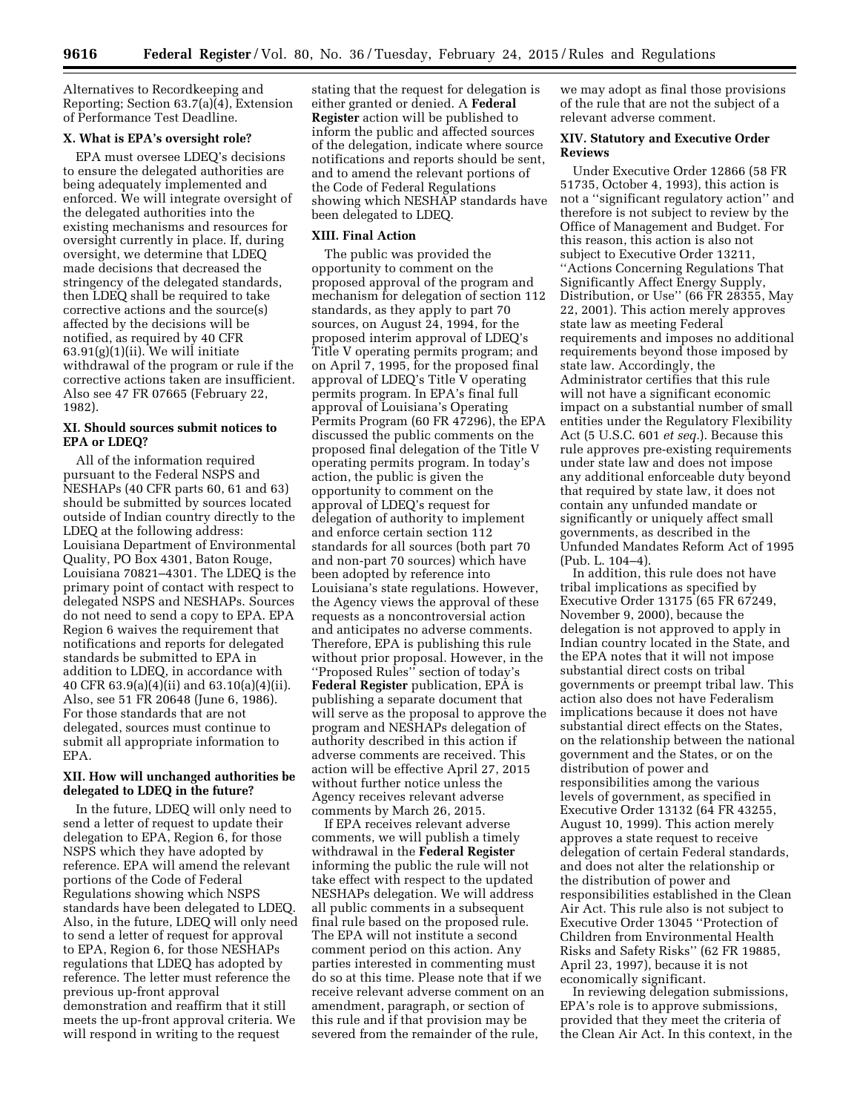Alternatives to Recordkeeping and Reporting; Section 63.7(a)(4), Extension of Performance Test Deadline.

### **X. What is EPA's oversight role?**

EPA must oversee LDEQ's decisions to ensure the delegated authorities are being adequately implemented and enforced. We will integrate oversight of the delegated authorities into the existing mechanisms and resources for oversight currently in place. If, during oversight, we determine that LDEQ made decisions that decreased the stringency of the delegated standards, then LDEQ shall be required to take corrective actions and the source(s) affected by the decisions will be notified, as required by 40 CFR  $63.91(g)(1)(ii)$ . We will initiate withdrawal of the program or rule if the corrective actions taken are insufficient. Also see 47 FR 07665 (February 22, 1982).

### **XI. Should sources submit notices to EPA or LDEQ?**

All of the information required pursuant to the Federal NSPS and NESHAPs (40 CFR parts 60, 61 and 63) should be submitted by sources located outside of Indian country directly to the LDEQ at the following address: Louisiana Department of Environmental Quality, PO Box 4301, Baton Rouge, Louisiana 70821–4301. The LDEQ is the primary point of contact with respect to delegated NSPS and NESHAPs. Sources do not need to send a copy to EPA. EPA Region 6 waives the requirement that notifications and reports for delegated standards be submitted to EPA in addition to LDEQ, in accordance with 40 CFR 63.9(a)(4)(ii) and 63.10(a)(4)(ii). Also, see 51 FR 20648 (June 6, 1986). For those standards that are not delegated, sources must continue to submit all appropriate information to EPA.

#### **XII. How will unchanged authorities be delegated to LDEQ in the future?**

In the future, LDEQ will only need to send a letter of request to update their delegation to EPA, Region 6, for those NSPS which they have adopted by reference. EPA will amend the relevant portions of the Code of Federal Regulations showing which NSPS standards have been delegated to LDEQ. Also, in the future, LDEQ will only need to send a letter of request for approval to EPA, Region 6, for those NESHAPs regulations that LDEQ has adopted by reference. The letter must reference the previous up-front approval demonstration and reaffirm that it still meets the up-front approval criteria. We will respond in writing to the request

stating that the request for delegation is either granted or denied. A **Federal Register** action will be published to inform the public and affected sources of the delegation, indicate where source notifications and reports should be sent, and to amend the relevant portions of the Code of Federal Regulations showing which NESHAP standards have been delegated to LDEQ.

#### **XIII. Final Action**

The public was provided the opportunity to comment on the proposed approval of the program and mechanism for delegation of section 112 standards, as they apply to part 70 sources, on August 24, 1994, for the proposed interim approval of LDEQ's Title V operating permits program; and on April 7, 1995, for the proposed final approval of LDEQ's Title V operating permits program. In EPA's final full approval of Louisiana's Operating Permits Program (60 FR 47296), the EPA discussed the public comments on the proposed final delegation of the Title V operating permits program. In today's action, the public is given the opportunity to comment on the approval of LDEQ's request for delegation of authority to implement and enforce certain section 112 standards for all sources (both part 70 and non-part 70 sources) which have been adopted by reference into Louisiana's state regulations. However, the Agency views the approval of these requests as a noncontroversial action and anticipates no adverse comments. Therefore, EPA is publishing this rule without prior proposal. However, in the ''Proposed Rules'' section of today's **Federal Register** publication, EPA is publishing a separate document that will serve as the proposal to approve the program and NESHAPs delegation of authority described in this action if adverse comments are received. This action will be effective April 27, 2015 without further notice unless the Agency receives relevant adverse comments by March 26, 2015.

If EPA receives relevant adverse comments, we will publish a timely withdrawal in the **Federal Register**  informing the public the rule will not take effect with respect to the updated NESHAPs delegation. We will address all public comments in a subsequent final rule based on the proposed rule. The EPA will not institute a second comment period on this action. Any parties interested in commenting must do so at this time. Please note that if we receive relevant adverse comment on an amendment, paragraph, or section of this rule and if that provision may be severed from the remainder of the rule,

we may adopt as final those provisions of the rule that are not the subject of a relevant adverse comment.

## **XIV. Statutory and Executive Order Reviews**

Under Executive Order 12866 (58 FR 51735, October 4, 1993), this action is not a ''significant regulatory action'' and therefore is not subject to review by the Office of Management and Budget. For this reason, this action is also not subject to Executive Order 13211, ''Actions Concerning Regulations That Significantly Affect Energy Supply, Distribution, or Use'' (66 FR 28355, May 22, 2001). This action merely approves state law as meeting Federal requirements and imposes no additional requirements beyond those imposed by state law. Accordingly, the Administrator certifies that this rule will not have a significant economic impact on a substantial number of small entities under the Regulatory Flexibility Act (5 U.S.C. 601 *et seq.*). Because this rule approves pre-existing requirements under state law and does not impose any additional enforceable duty beyond that required by state law, it does not contain any unfunded mandate or significantly or uniquely affect small governments, as described in the Unfunded Mandates Reform Act of 1995 (Pub. L. 104–4).

In addition, this rule does not have tribal implications as specified by Executive Order 13175 (65 FR 67249, November 9, 2000), because the delegation is not approved to apply in Indian country located in the State, and the EPA notes that it will not impose substantial direct costs on tribal governments or preempt tribal law. This action also does not have Federalism implications because it does not have substantial direct effects on the States, on the relationship between the national government and the States, or on the distribution of power and responsibilities among the various levels of government, as specified in Executive Order 13132 (64 FR 43255, August 10, 1999). This action merely approves a state request to receive delegation of certain Federal standards, and does not alter the relationship or the distribution of power and responsibilities established in the Clean Air Act. This rule also is not subject to Executive Order 13045 ''Protection of Children from Environmental Health Risks and Safety Risks'' (62 FR 19885, April 23, 1997), because it is not economically significant.

In reviewing delegation submissions, EPA's role is to approve submissions, provided that they meet the criteria of the Clean Air Act. In this context, in the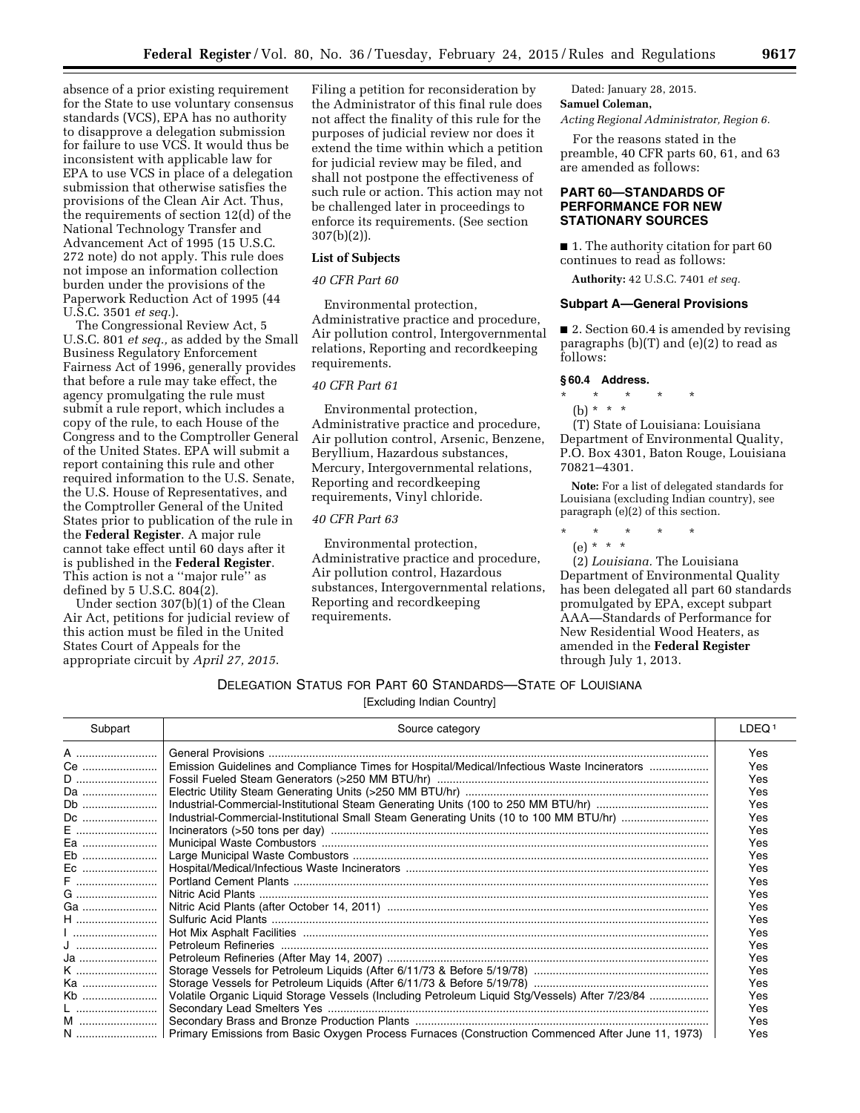absence of a prior existing requirement for the State to use voluntary consensus standards (VCS), EPA has no authority to disapprove a delegation submission for failure to use VCS. It would thus be inconsistent with applicable law for EPA to use VCS in place of a delegation submission that otherwise satisfies the provisions of the Clean Air Act. Thus, the requirements of section 12(d) of the National Technology Transfer and Advancement Act of 1995 (15 U.S.C. 272 note) do not apply. This rule does not impose an information collection burden under the provisions of the Paperwork Reduction Act of 1995 (44 U.S.C. 3501 *et seq.*).

The Congressional Review Act, 5 U.S.C. 801 *et seq.,* as added by the Small Business Regulatory Enforcement Fairness Act of 1996, generally provides that before a rule may take effect, the agency promulgating the rule must submit a rule report, which includes a copy of the rule, to each House of the Congress and to the Comptroller General of the United States. EPA will submit a report containing this rule and other required information to the U.S. Senate, the U.S. House of Representatives, and the Comptroller General of the United States prior to publication of the rule in the **Federal Register**. A major rule cannot take effect until 60 days after it is published in the **Federal Register**. This action is not a ''major rule'' as defined by 5 U.S.C. 804(2).

Under section 307(b)(1) of the Clean Air Act, petitions for judicial review of this action must be filed in the United States Court of Appeals for the appropriate circuit by *April 27, 2015*.

Filing a petition for reconsideration by the Administrator of this final rule does not affect the finality of this rule for the purposes of judicial review nor does it extend the time within which a petition for judicial review may be filed, and shall not postpone the effectiveness of such rule or action. This action may not be challenged later in proceedings to enforce its requirements. (See section 307(b)(2)).

#### **List of Subjects**

#### *40 CFR Part 60*

Environmental protection, Administrative practice and procedure, Air pollution control, Intergovernmental relations, Reporting and recordkeeping requirements.

## *40 CFR Part 61*

Environmental protection, Administrative practice and procedure, Air pollution control, Arsenic, Benzene, Beryllium, Hazardous substances, Mercury, Intergovernmental relations, Reporting and recordkeeping requirements, Vinyl chloride.

### *40 CFR Part 63*

Environmental protection, Administrative practice and procedure, Air pollution control, Hazardous substances, Intergovernmental relations, Reporting and recordkeeping requirements.

Dated: January 28, 2015. **Samuel Coleman,** 

*Acting Regional Administrator, Region 6.* 

For the reasons stated in the preamble, 40 CFR parts 60, 61, and 63 are amended as follows:

## **PART 60—STANDARDS OF PERFORMANCE FOR NEW STATIONARY SOURCES**

■ 1. The authority citation for part 60 continues to read as follows:

**Authority:** 42 U.S.C. 7401 *et seq.* 

#### **Subpart A—General Provisions**

■ 2. Section 60.4 is amended by revising paragraphs (b)(T) and (e)(2) to read as follows:

#### **§ 60.4 Address.**

## \* \* \* \* \*

(b) \* \* \*

(T) State of Louisiana: Louisiana Department of Environmental Quality, P.O. Box 4301, Baton Rouge, Louisiana 70821–4301.

**Note:** For a list of delegated standards for Louisiana (excluding Indian country), see paragraph (e)(2) of this section.

- \* \* \* \* \*
- (e) \* \* \*

(2) *Louisiana.* The Louisiana Department of Environmental Quality has been delegated all part 60 standards promulgated by EPA, except subpart AAA—Standards of Performance for New Residential Wood Heaters, as amended in the **Federal Register**  through July 1, 2013.

## DELEGATION STATUS FOR PART 60 STANDARDS—STATE OF LOUISIANA

| Subpart | Source category                                                                                      | LDEQ <sup>1</sup> |
|---------|------------------------------------------------------------------------------------------------------|-------------------|
| A       |                                                                                                      | Yes               |
| Ce      | Emission Guidelines and Compliance Times for Hospital/Medical/Infectious Waste Incinerators          | <b>Yes</b>        |
|         |                                                                                                      | <b>Yes</b>        |
| Da      |                                                                                                      | Yes               |
| Db      |                                                                                                      | Yes               |
|         |                                                                                                      | Yes               |
|         |                                                                                                      | Yes               |
| Ea      |                                                                                                      | <b>Yes</b>        |
| Eb      |                                                                                                      | Yes               |
| Ec      |                                                                                                      | Yes               |
|         |                                                                                                      | Yes               |
|         |                                                                                                      | Yes               |
| Ga      |                                                                                                      | Yes               |
| $H$     |                                                                                                      | <b>Yes</b>        |
|         |                                                                                                      | Yes               |
|         |                                                                                                      | Yes               |
| Ja      |                                                                                                      | Yes               |
| K       |                                                                                                      | Yes               |
| Ka      |                                                                                                      | Yes               |
| Kb      | Volatile Organic Liquid Storage Vessels (Including Petroleum Liquid Stg/Vessels) After 7/23/84       | Yes               |
|         |                                                                                                      | Yes               |
| M       |                                                                                                      | <b>Yes</b>        |
|         | N  Primary Emissions from Basic Oxygen Process Furnaces (Construction Commenced After June 11, 1973) | Yes               |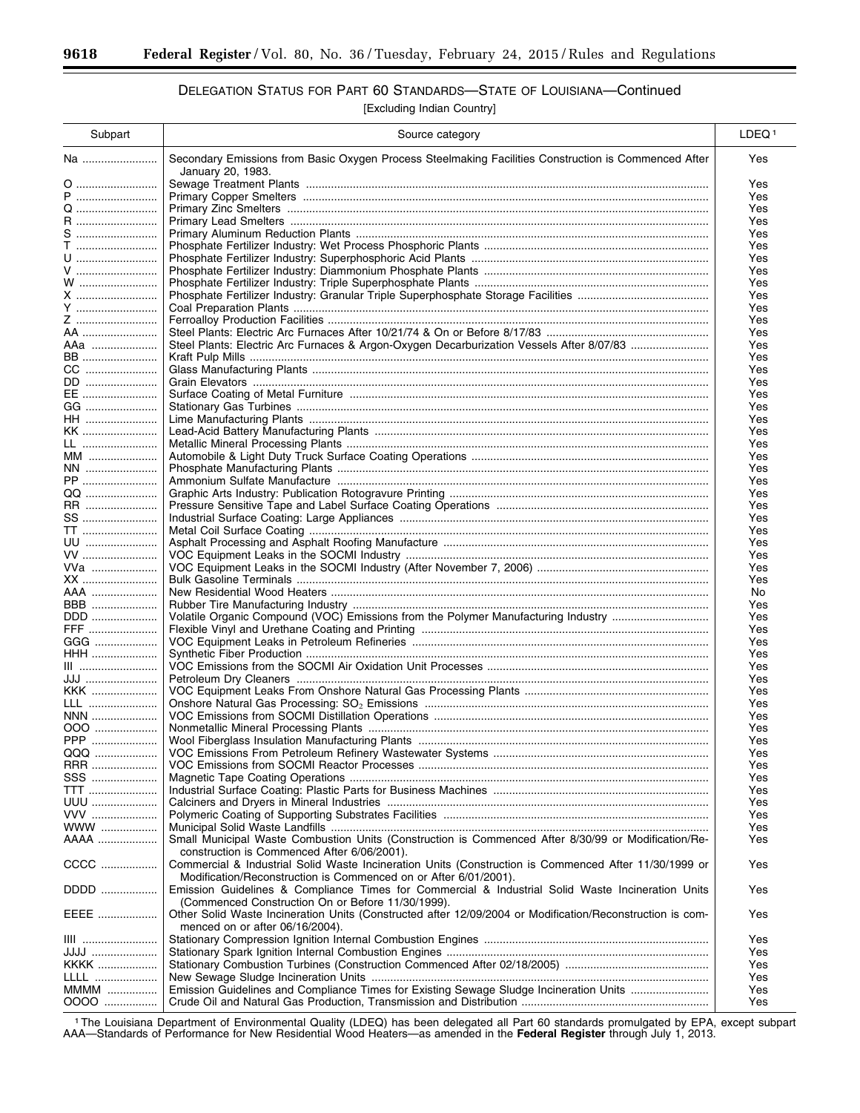# DELEGATION STATUS FOR PART 60 STANDARDS—STATE OF LOUISIANA—Continued

[Excluding Indian Country]

| Subpart                       | Source category                                                                                                           | LDEQ <sup>1</sup> |
|-------------------------------|---------------------------------------------------------------------------------------------------------------------------|-------------------|
| Na                            | Secondary Emissions from Basic Oxygen Process Steelmaking Facilities Construction is Commenced After<br>January 20, 1983. | Yes               |
| 0                             |                                                                                                                           | Yes               |
| P                             |                                                                                                                           | Yes               |
|                               |                                                                                                                           | Yes               |
| R                             |                                                                                                                           | Yes               |
| S                             |                                                                                                                           | Yes               |
| $T$ ,,,,,,,,,,,,,,,,,,,,,,,,, |                                                                                                                           | Yes               |
| <u>U</u>                      |                                                                                                                           | Yes               |
| V                             |                                                                                                                           | Yes               |
| W                             |                                                                                                                           | Yes               |
| X<br>Y                        |                                                                                                                           | Yes<br>Yes        |
| Z                             |                                                                                                                           | Yes               |
| AA                            |                                                                                                                           | Yes               |
| AAa                           | Steel Plants: Electric Arc Furnaces & Argon-Oxygen Decarburization Vessels After 8/07/83                                  | Yes               |
| <b>BB</b>                     |                                                                                                                           | Yes               |
| CC                            |                                                                                                                           | Yes               |
| DD                            |                                                                                                                           | Yes               |
| EE                            |                                                                                                                           | Yes               |
| GG                            |                                                                                                                           | Yes               |
| HH                            |                                                                                                                           | Yes               |
| KK                            |                                                                                                                           | Yes               |
| LL                            |                                                                                                                           | Yes               |
| MM                            |                                                                                                                           | Yes               |
| NN                            |                                                                                                                           | Yes               |
| PP                            |                                                                                                                           | Yes               |
| QQ                            |                                                                                                                           | Yes               |
| RR                            |                                                                                                                           | Yes               |
| SS                            |                                                                                                                           | Yes               |
| <b>TT</b>                     |                                                                                                                           | Yes               |
| UU                            |                                                                                                                           | Yes               |
| VV                            |                                                                                                                           | Yes               |
| VVa                           |                                                                                                                           | Yes               |
| XX                            |                                                                                                                           | Yes               |
| AAA …………………                   |                                                                                                                           | No                |
| BBB                           |                                                                                                                           | Yes               |
| DDD                           |                                                                                                                           | Yes               |
| FFF                           |                                                                                                                           | Yes               |
| GGG                           |                                                                                                                           | Yes               |
| HHH                           |                                                                                                                           | Yes               |
| $III$                         |                                                                                                                           | Yes               |
| JJJ                           |                                                                                                                           | Yes               |
| KKK                           |                                                                                                                           | Yes               |
| LLL                           |                                                                                                                           | Yes               |
| NNN                           |                                                                                                                           | Yes               |
| 000                           |                                                                                                                           | Yes               |
| PPP                           |                                                                                                                           | Yes               |
| QQQ                           |                                                                                                                           | Yes               |
| RRR                           |                                                                                                                           | Yes               |
| SSS                           |                                                                                                                           | Yes               |
| <b>TTT</b>                    |                                                                                                                           | Yes               |
| UUU                           |                                                                                                                           | Yes               |
| VVV<br>$WWW$                  |                                                                                                                           | Yes               |
| AAAA                          | Small Municipal Waste Combustion Units (Construction is Commenced After 8/30/99 or Modification/Re-                       | Yes<br>Yes        |
|                               | construction is Commenced After 6/06/2001).                                                                               |                   |
| CCCC                          | Commercial & Industrial Solid Waste Incineration Units (Construction is Commenced After 11/30/1999 or                     | Yes               |
|                               | Modification/Reconstruction is Commenced on or After 6/01/2001).                                                          |                   |
| DDDD                          | Emission Guidelines & Compliance Times for Commercial & Industrial Solid Waste Incineration Units                         | Yes               |
|                               | (Commenced Construction On or Before 11/30/1999).                                                                         |                   |
| EEEE                          | Other Solid Waste Incineration Units (Constructed after 12/09/2004 or Modification/Reconstruction is com-                 | Yes               |
|                               | menced on or after 06/16/2004).                                                                                           |                   |
| <b>IIII</b>                   |                                                                                                                           | Yes               |
| JJJJ                          |                                                                                                                           | Yes               |
| KKKK                          |                                                                                                                           | Yes               |
| LLLL                          |                                                                                                                           | Yes               |
| MMMM                          | Emission Guidelines and Compliance Times for Existing Sewage Sludge Incineration Units                                    | Yes               |
| 0000                          |                                                                                                                           | Yes               |
|                               |                                                                                                                           |                   |

1The Louisiana Department of Environmental Quality (LDEQ) has been delegated all Part 60 standards promulgated by EPA, except subpart AAA—Standards of Performance for New Residential Wood Heaters—as amended in the **Federal Register** through July 1, 2013.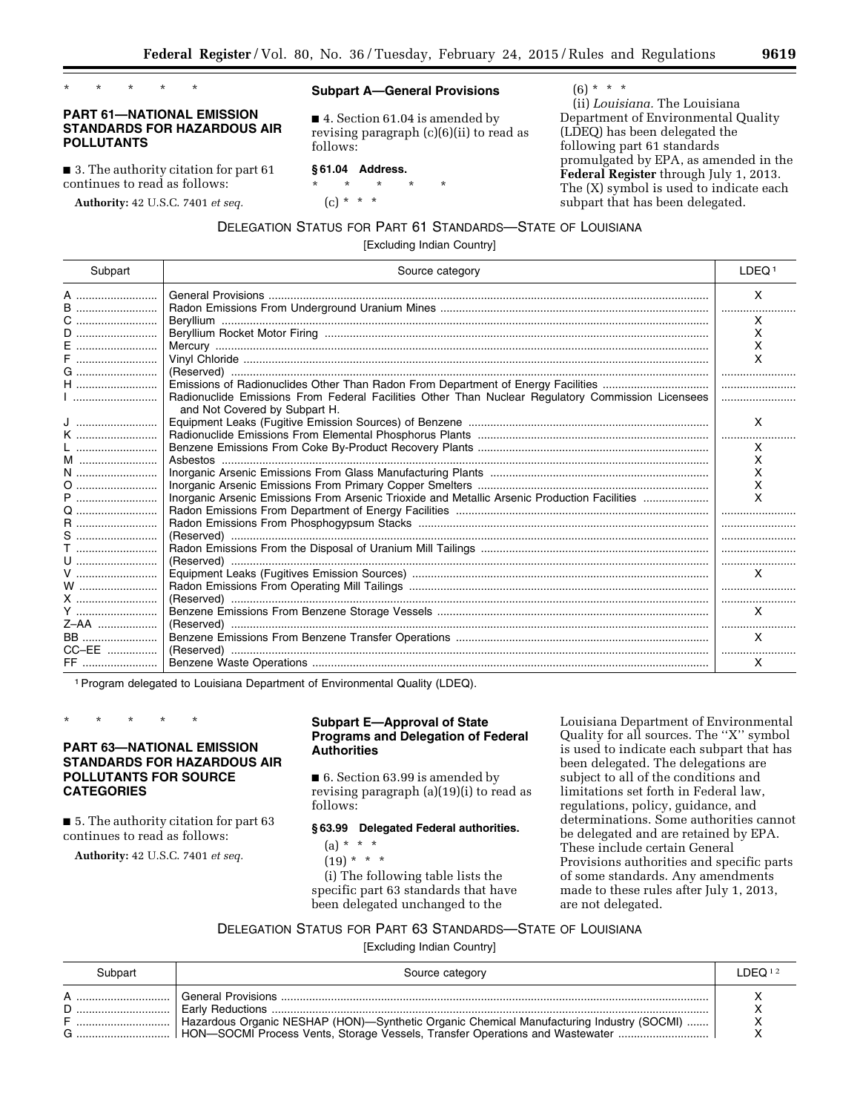\* \* \* \* \*

## **PART 61—NATIONAL EMISSION STANDARDS FOR HAZARDOUS AIR POLLUTANTS**

■ 3. The authority citation for part 61 continues to read as follows:

**Authority:** 42 U.S.C. 7401 *et seq.* 

#### **Subpart A—General Provisions**

■ 4. Section 61.04 is amended by revising paragraph (c)(6)(ii) to read as follows:

### **§ 61.04 Address.**

\* \* \* \* \*  $(c) * * * *$ 

 $(6) * * * *$ 

(ii) *Louisiana.* The Louisiana Department of Environmental Quality (LDEQ) has been delegated the following part 61 standards promulgated by EPA, as amended in the **Federal Register** through July 1, 2013. The (X) symbol is used to indicate each subpart that has been delegated.

DELEGATION STATUS FOR PART 61 STANDARDS—STATE OF LOUISIANA

[Excluding Indian Country]

| Subpart      | Source category                                                                                   | LDEQ <sup>1</sup> |
|--------------|---------------------------------------------------------------------------------------------------|-------------------|
| A<br>B       |                                                                                                   | X                 |
| C            |                                                                                                   | x                 |
| $D$          |                                                                                                   | x                 |
| E            |                                                                                                   | x                 |
| F            |                                                                                                   | x                 |
| $G$          |                                                                                                   |                   |
| H            |                                                                                                   |                   |
|              | Radionuclide Emissions From Federal Facilities Other Than Nuclear Regulatory Commission Licensees |                   |
|              | and Not Covered by Subpart H.                                                                     |                   |
|              |                                                                                                   | X                 |
| K            |                                                                                                   |                   |
| $\mathsf{L}$ |                                                                                                   | X                 |
|              |                                                                                                   | x                 |
| N            |                                                                                                   | x                 |
| 0            |                                                                                                   | х                 |
| P            | Inorganic Arsenic Emissions From Arsenic Trioxide and Metallic Arsenic Production Facilities      | x                 |
|              |                                                                                                   |                   |
| <b>R</b>     |                                                                                                   |                   |
| S            |                                                                                                   |                   |
| $T$          |                                                                                                   |                   |
| U            |                                                                                                   |                   |
|              |                                                                                                   | X                 |
| $W$          |                                                                                                   |                   |
| X            |                                                                                                   |                   |
| Y            |                                                                                                   | $\times$          |
| Z-AA         |                                                                                                   |                   |
| <b>BB</b>    |                                                                                                   | X                 |
| CC-EE        |                                                                                                   |                   |
| FF           |                                                                                                   | X                 |

1Program delegated to Louisiana Department of Environmental Quality (LDEQ).

\* \* \* \* \*

## **PART 63—NATIONAL EMISSION STANDARDS FOR HAZARDOUS AIR POLLUTANTS FOR SOURCE CATEGORIES**

■ 5. The authority citation for part 63 continues to read as follows:

**Authority:** 42 U.S.C. 7401 *et seq.* 

## **Subpart E—Approval of State Programs and Delegation of Federal Authorities**

■ 6. Section 63.99 is amended by revising paragraph (a)(19)(i) to read as follows:

#### **§ 63.99 Delegated Federal authorities.**

 $(a) * * * *$ 

 $(19) * * * *$ 

(i) The following table lists the specific part 63 standards that have been delegated unchanged to the

Louisiana Department of Environmental Quality for all sources. The ''X'' symbol is used to indicate each subpart that has been delegated. The delegations are subject to all of the conditions and limitations set forth in Federal law, regulations, policy, guidance, and determinations. Some authorities cannot be delegated and are retained by EPA. These include certain General Provisions authorities and specific parts of some standards. Any amendments made to these rules after July 1, 2013, are not delegated.

DELEGATION STATUS FOR PART 63 STANDARDS—STATE OF LOUISIANA

| Subpart | Source category                                                                                                                                                                                        | DEO <sub>12</sub> |
|---------|--------------------------------------------------------------------------------------------------------------------------------------------------------------------------------------------------------|-------------------|
|         | <b>Early Reductions </b><br>Hazardous Organic NESHAP (HON)—Synthetic Organic Chemical Manufacturing Industry (SOCMI)<br>  HON-SOCMI Process Vents, Storage Vessels, Transfer Operations and Wastewater |                   |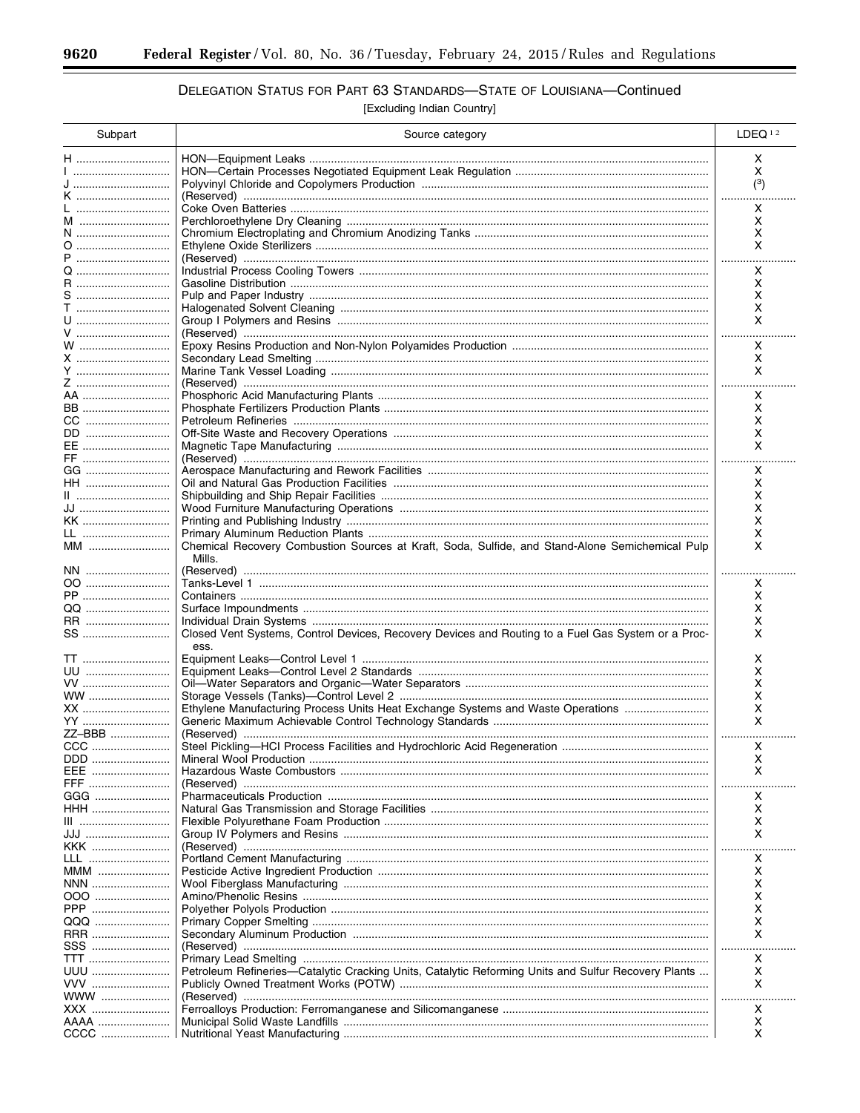$\equiv$ 

## DELEGATION STATUS FOR PART 63 STANDARDS-STATE OF LOUISIANA-Continued

| Subpart      | Source category                                                                                     | LDEQ <sup>12</sup> |
|--------------|-----------------------------------------------------------------------------------------------------|--------------------|
| H            |                                                                                                     | x                  |
| 1            |                                                                                                     | x                  |
| J<br>K       |                                                                                                     | (3)                |
| L            |                                                                                                     | .<br>Χ             |
| M            |                                                                                                     | x                  |
| N            |                                                                                                     | х                  |
| 0            |                                                                                                     | X                  |
| P            |                                                                                                     | x                  |
| R            |                                                                                                     | x                  |
| S            |                                                                                                     | x                  |
| T            |                                                                                                     | X                  |
| U<br>V       |                                                                                                     | X<br>.             |
| W            |                                                                                                     | X                  |
| X            |                                                                                                     | Χ                  |
| Y            |                                                                                                     | X                  |
| Z            |                                                                                                     |                    |
| AA<br>BB     |                                                                                                     | x<br>x             |
| CC           |                                                                                                     | х                  |
| DD           |                                                                                                     | х                  |
| EE           |                                                                                                     | X                  |
| FF           |                                                                                                     | .                  |
| GG           |                                                                                                     | x                  |
| HH           |                                                                                                     | x<br>х             |
| JJ           |                                                                                                     | x                  |
| KK           |                                                                                                     | х                  |
| LL           |                                                                                                     | х                  |
| MM           | Chemical Recovery Combustion Sources at Kraft, Soda, Sulfide, and Stand-Alone Semichemical Pulp     | x                  |
|              | Mills.                                                                                              |                    |
| NN<br>00     |                                                                                                     | X.                 |
| PP           |                                                                                                     | х                  |
|              |                                                                                                     | х                  |
| RR           |                                                                                                     | х                  |
| SS           | Closed Vent Systems, Control Devices, Recovery Devices and Routing to a Fuel Gas System or a Proc-  | x                  |
| TT           | ess.                                                                                                | x                  |
| UU           |                                                                                                     | x                  |
| VV           |                                                                                                     | х                  |
| WW           |                                                                                                     | X                  |
| XX           | Ethylene Manufacturing Process Units Heat Exchange Systems and Waste Operations                     | x                  |
| YY<br>ZZ-BBB |                                                                                                     | x                  |
| CCC          |                                                                                                     | x                  |
| DDD          |                                                                                                     | х                  |
|              |                                                                                                     | х                  |
| FFF          |                                                                                                     |                    |
| GGG<br>HHH   |                                                                                                     | х<br>х             |
|              |                                                                                                     | х                  |
| JJJ          |                                                                                                     | X                  |
| KKK          |                                                                                                     |                    |
| LLL          |                                                                                                     | x                  |
| MMM          |                                                                                                     | х                  |
| NNN<br>000   |                                                                                                     | х<br>х             |
| PPP          |                                                                                                     | х                  |
| QQQ          |                                                                                                     | х                  |
| RRR          |                                                                                                     | х                  |
| SSS          |                                                                                                     |                    |
| TTT          |                                                                                                     | x                  |
| UUU<br>VVV   | Petroleum Refineries—Catalytic Cracking Units, Catalytic Reforming Units and Sulfur Recovery Plants | х<br>x             |
| www          |                                                                                                     |                    |
| XXX          |                                                                                                     | x                  |
|              |                                                                                                     | х                  |
| CCCC         |                                                                                                     | X                  |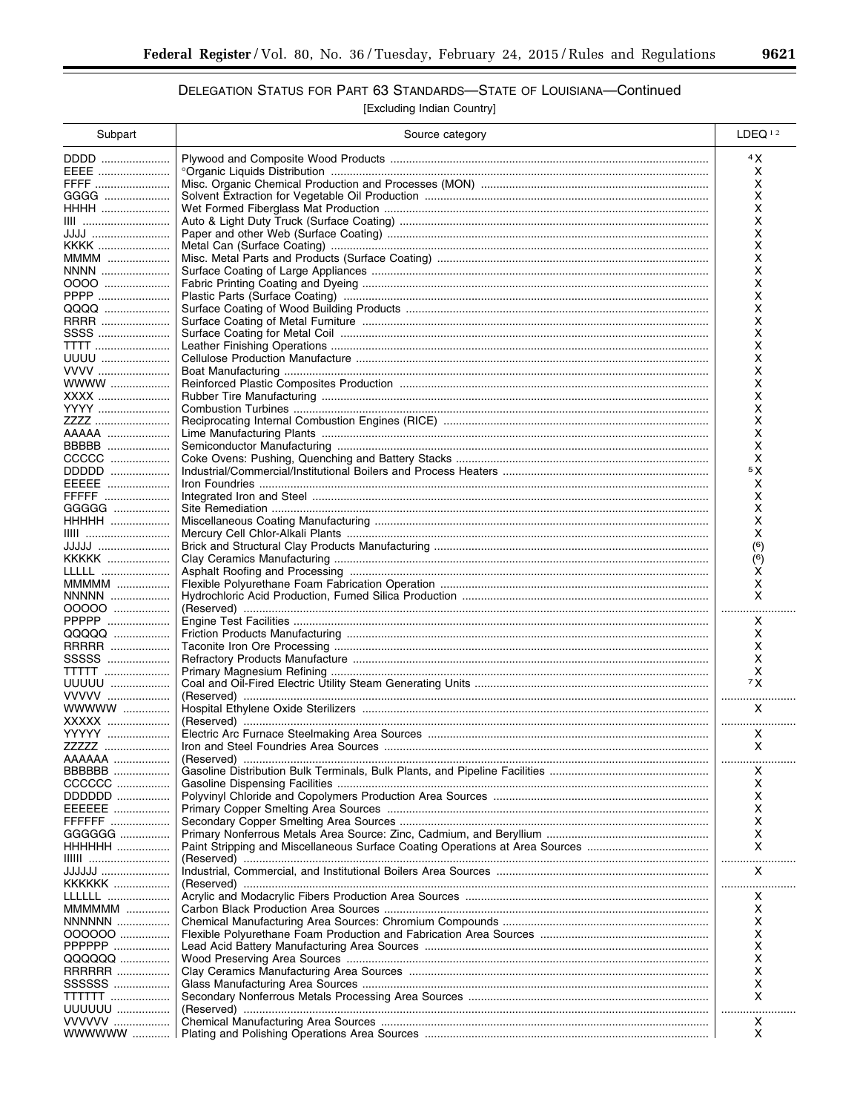## DELEGATION STATUS FOR PART 63 STANDARDS-STATE OF LOUISIANA-Continued

| Subpart                  | Source category | LDEQ <sup>12</sup> |
|--------------------------|-----------------|--------------------|
| DDDD                     |                 | 4 X                |
| EEEE                     |                 | x                  |
| FFFF                     |                 | x                  |
| GGGG<br><b>HHHH</b>      |                 | х<br>х             |
| IIII                     |                 | х                  |
| JJJJ                     |                 | х                  |
| KKKK                     |                 | х                  |
| MMMM                     |                 | х                  |
| <b>NNNN</b>              |                 | х                  |
| 0000<br>PPPP             |                 | х<br>х             |
|                          |                 | х                  |
| RRRR                     |                 | х                  |
| SSSS                     |                 | х                  |
| <b>TTTT</b>              |                 | х                  |
| UUUU<br>VVVV             |                 | х                  |
| WWWW                     |                 | х<br>x             |
| XXXX                     |                 | х                  |
| YYYY                     |                 | x                  |
| ZZZZ                     |                 | x                  |
| AAAAA                    |                 | x                  |
| BBBBB<br>CCCCC           |                 | x<br>х             |
| DDDDD                    |                 | 5 X                |
| EEEEE                    |                 | x                  |
| FFFFF                    |                 | х                  |
| GGGGG                    |                 | х                  |
|                          |                 | х<br>x             |
| JJJJJ                    |                 | (6)                |
| KKKKK                    |                 | (6)                |
| LLLLL                    |                 | х                  |
| MMMMM                    |                 | х                  |
| <b>NNNNN</b>             |                 | x                  |
| 00000<br>PPPPP           |                 | .<br>x             |
| QQQQQ                    |                 | x                  |
| RRRRR                    |                 | х                  |
| SSSSS                    |                 | х                  |
| <b>TTTTT</b>             |                 | х                  |
| UUUUU<br>VVVVV           |                 | 7X<br>             |
| WWWWW                    |                 | X                  |
| XXXXX                    |                 |                    |
| YYYYY                    |                 | Χ                  |
| ZZZZZ                    |                 | X                  |
| AAAAAA<br>BBBBBB         |                 | X                  |
| CCCCCC                   |                 | х                  |
| DDDDDD                   |                 | x                  |
| EEEEEE                   |                 | х                  |
| FFFFFF                   |                 | х                  |
| GGGGGG                   |                 | х                  |
| HHHHHH<br><b>IIIIII</b>  |                 | X<br>.             |
| JJJJJJJ                  |                 | X                  |
| KKKKKK                   |                 | .                  |
| LLLLLL                   |                 | x                  |
| MMMMMM                   |                 | х                  |
| <b>NNNNNN</b><br>000000  |                 | х<br>х             |
| PPPPPP                   |                 | х                  |
| QQQQQQ                   |                 | х                  |
| <b>RRRRRR </b>           |                 | х                  |
| SSSSSS                   |                 | х                  |
| <b>TTTTTTT</b><br>UUUUUU |                 | х                  |
| VVVVVV                   |                 | x                  |
| WWWWWW                   |                 | x                  |